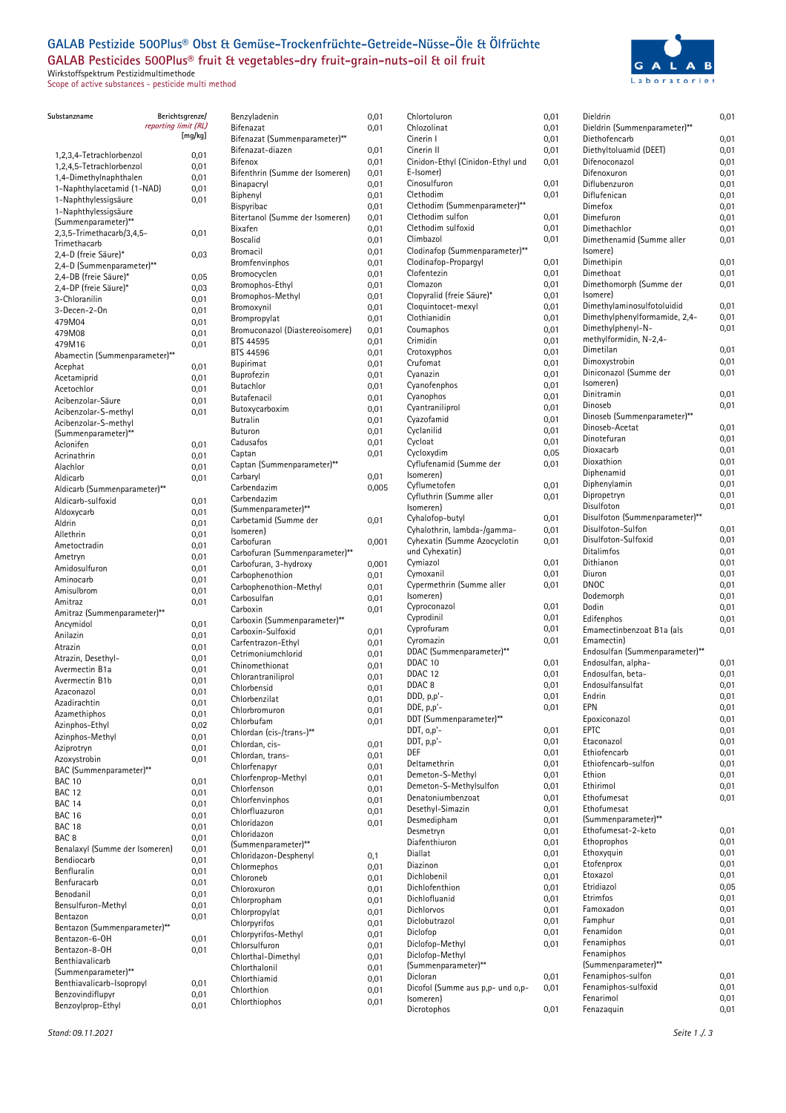## **GALAB Pestizide 500Plus® Obst & Gemüse-Trockenfrüchte-Getreide-Nüsse-Öle & Ölfrüchte GALAB Pesticides 500Plus® fruit & vegetables-dry fruit-grain-nuts-oil & oil fruit**

Wirkstoffspektrum Pestizidmultimethode Scope of active substances - pesticide multi method



| Substanzname                                       | Berichtsgrenze/      |
|----------------------------------------------------|----------------------|
|                                                    | reporting limit (RL) |
|                                                    | [mg/kg]              |
| 1,2,3,4-Tetrachlorbenzol                           | 0,01                 |
| 1,2,4,5-Tetrachlorbenzol                           | 0,01                 |
| 1,4-Dimethylnaphthalen                             | 0,01                 |
| 1-Naphthylacetamid (1-NAD)                         | 0,01                 |
| 1-Naphthylessigsäure                               | 0,01                 |
| 1-Naphthylessigsäure                               |                      |
| (Summenparameter)**<br>2,3,5-Trimethacarb/3,4,5-   | 0,01                 |
| Trimethacarb                                       |                      |
| 2,4-D (freie Säure)*                               | 0,03                 |
| 2,4-D (Summenparameter)**                          |                      |
| 2,4-DB (freie Säure)*                              | 0,05                 |
| 2,4-DP (freie Säure)*                              | 0,03                 |
| 3-Chloranilin                                      | 0,01                 |
| 3-Decen-2-On<br>479M04                             | 0,01<br>0,01         |
| 479M08                                             | 0,01                 |
| 479M16                                             | 0,01                 |
| Abamectin (Summenparameter)**                      |                      |
| Acephat                                            | 0,01                 |
| Acetamiprid                                        | 0,01                 |
| Acetochlor                                         | 0,01                 |
| Acibenzolar-Säure                                  | 0,01                 |
| Acibenzolar-S-methyl<br>Acibenzolar-S-methyl       | 0,01                 |
| (Summenparameter)**                                |                      |
| Aclonifen                                          | 0,01                 |
| Acrinathrin                                        | 0,01                 |
| Alachlor                                           | 0,01                 |
| Aldicarb                                           | 0,01                 |
| Aldicarb (Summenparameter)**                       |                      |
| Aldicarb-sulfoxid                                  | 0,01                 |
| Aldoxycarb<br>Aldrin                               | 0,01                 |
| Allethrin                                          | 0,01<br>0,01         |
| Ametoctradin                                       | 0,01                 |
| Ametryn                                            | 0,01                 |
| Amidosulfuron                                      | 0,01                 |
| Aminocarb                                          | 0,01                 |
| Amisulbrom                                         | 0,01                 |
| Amitraz                                            | 0,01                 |
| Amitraz (Summenparameter)**                        |                      |
| Ancymidol<br>Anilazin                              | 0,01<br>0,01         |
| Atrazin                                            | 0,01                 |
| Atrazin, Desethyl-                                 | 0,01                 |
| Avermectin B1a                                     | 0,01                 |
| Avermectin B1b                                     | 0,01                 |
| Azaconazol                                         | 0,01                 |
| Azadirachtin                                       | 0,01                 |
| Azamethiphos                                       | 0,01                 |
| Azinphos-Ethyl                                     | 0,02                 |
| Azinphos-Methyl<br>Aziprotryn                      | 0,01<br>0,01         |
| Azoxystrobin                                       | 0,01                 |
| BAC (Summenparameter)**                            |                      |
| <b>BAC 10</b>                                      | 0,01                 |
| <b>BAC 12</b>                                      | 0,01                 |
| BAC <sub>14</sub>                                  | 0,01                 |
| <b>BAC 16</b>                                      | 0,01                 |
| BAC 18                                             | 0,01                 |
| BAC <sub>8</sub><br>Benalaxyl (Summe der Isomeren) | 0,01                 |
| Bendiocarb                                         | 0,01<br>0,01         |
| Benfluralin                                        | 0,01                 |
| Benfuracarb                                        | 0,01                 |
| Benodanil                                          | 0,01                 |
| Bensulfuron-Methyl                                 | 0,01                 |
| Bentazon                                           | 0,01                 |
| Bentazon (Summenparameter)**                       |                      |
| Bentazon-6-OH                                      | 0,01                 |
| Bentazon-8-OH<br>Benthiavalicarb                   | 0,01                 |
| (Summenparameter)**                                |                      |
| Benthiavalicarb-Isopropyl                          | 0,01                 |
| Benzovindiflupyr                                   | 0,01                 |
| Benzoylprop-Ethyl                                  | 0,01                 |

| Benzyladenin                                  | 0,01         |
|-----------------------------------------------|--------------|
| Bifenazat                                     | 0,01         |
| Bifenazat (Summenparameter)**                 |              |
| Bifenazat-diazen                              | 0,01         |
| Bifenox                                       | 0,01         |
| Bifenthrin (Summe der Isomeren)<br>Binapacryl | 0,01<br>0,01 |
| Biphenyl                                      | 0,01         |
| Bispyribac                                    | 0,01         |
| Bitertanol (Summe der Isomeren)               | 0,01         |
| Bixafen                                       | 0,01         |
| Boscalid                                      | 0,01         |
| Bromacil                                      | 0,01         |
| Bromfenvinphos                                | 0,01         |
| Bromocyclen                                   | 0,01         |
| Bromophos-Ethyl                               | 0,01         |
| Bromophos-Methyl                              | 0,01         |
| Bromoxynil                                    | 0,01         |
| Brompropylat                                  | 0,01         |
| Bromuconazol (Diastereoisomere)               | 0,01         |
| BTS 44595                                     | 0,01         |
| <b>BTS 44596</b>                              | 0,01         |
| Bupirimat<br>Buprofezin                       | 0,01<br>0,01 |
| Butachlor                                     | 0,01         |
| Butafenacil                                   | 0,01         |
| Butoxycarboxim                                | 0,01         |
| Butralin                                      | 0,01         |
| Buturon                                       | 0,01         |
| Cadusafos                                     | 0,01         |
| Captan                                        | 0,01         |
| Captan (Summenparameter)**                    |              |
| Carbaryl                                      | 0,01         |
| Carbendazim                                   | 0,005        |
| Carbendazim                                   |              |
| (Summenparameter)**                           |              |
| Carbetamid (Summe der                         | 0,01         |
| lsomeren)<br>Carbofuran                       |              |
| Carbofuran (Summenparameter)**                | 0,001        |
| Carbofuran, 3-hydroxy                         | 0,001        |
| Carbophenothion                               | 0,01         |
| Carbophenothion-Methyl                        | 0,01         |
| Carbosulfan                                   | 0,01         |
| Carboxin                                      | 0,01         |
| Carboxin (Summenparameter)**                  |              |
| Carboxin-Sulfoxid                             | 0,01         |
| Carfentrazon-Ethyl                            | 0,01         |
| Cetrimoniumchlorid                            | 0,01         |
| Chinomethionat                                | 0,01         |
| Chlorantraniliprol                            | 0,01         |
| Chlorbensid                                   | 0,01         |
| Chlorbenzilat                                 | 0,01         |
| Chlorbromuron                                 | 0,01         |
| Chlorbufam<br>Chlordan (cis-/trans-)**        | 0,01         |
| Chlordan, cis-                                | 0,01         |
| Chlordan, trans-                              | 0,01         |
| Chlorfenapyr                                  | 0,01         |
| Chlorfenprop-Methyl                           | 0,01         |
| Chlorfenson                                   | 0,01         |
| Chlorfenvinphos                               | 0,01         |
| Chlorfluazuron                                | 0,01         |
| Chloridazon                                   | 0,01         |
| Chloridazon                                   |              |
| (Summenparameter)**                           |              |
| Chloridazon-Desphenyl                         | 0,1          |
| Chlormephos                                   | 0,01         |
| Chloroneb<br>Chloroxuron                      | 0,01         |
| Chlorpropham                                  | 0,01<br>0,01 |
| Chlorpropylat                                 | 0,01         |
| Chlorpyrifos                                  | 0,01         |
| Chlorpyrifos-Methyl                           | 0,01         |
| Chlorsulfuron                                 | 0,01         |
| Chlorthal-Dimethyl                            | 0,01         |
| Chlorthalonil                                 | 0,01         |
| Chlorthiamid                                  | 0,01         |
| Chlorthion                                    | 0,01         |
| Chlorthiophos                                 | 0,01         |
|                                               |              |

| Chlortoluron<br>Chlozolinat                            | 0,01<br>0,01 | Dieldrin<br>Dieldrin (Summenparameter)** | 0,01         |
|--------------------------------------------------------|--------------|------------------------------------------|--------------|
| Cinerin I                                              | 0,01         | Diethofencarb                            | 0,01         |
| Cinerin II                                             | 0,01         | Diethyltoluamid (DEET)                   | 0,01         |
| Cinidon-Ethyl (Cinidon-Ethyl und                       | 0,01         | Difenoconazol                            | 0,01         |
| E-Isomer)                                              |              | Difenoxuron                              | 0,01         |
| Cinosulfuron                                           | 0,01         | Diflubenzuron                            | 0,01         |
| Clethodim                                              | 0,01         | Diflufenican                             | 0,01         |
| Clethodim (Summenparameter)**                          |              | Dimefox                                  | 0,01         |
| Clethodim sulfon                                       | 0,01         | Dimefuron                                | 0,01         |
| Clethodim sulfoxid                                     | 0,01         | Dimethachlor                             | 0,01         |
| Climbazol                                              | 0,01         | Dimethenamid (Summe aller                | 0,01         |
| Clodinafop (Summenparameter)**<br>Clodinafop-Propargyl | 0,01         | Isomere)<br>Dimethipin                   | 0,01         |
| Clofentezin                                            | 0,01         | Dimethoat                                | 0,01         |
| Clomazon                                               | 0,01         | Dimethomorph (Summe der                  | 0.01         |
| Clopyralid (freie Säure)*                              | 0,01         | Isomere)                                 |              |
| Cloquintocet-mexyl                                     | 0,01         | Dimethylaminosulfotoluidid               | 0,01         |
| Clothianidin                                           | 0,01         | Dimethylphenylformamide, 2,4-            | 0,01         |
| Coumaphos                                              | 0,01         | Dimethylphenyl-N-                        | 0,01         |
| Crimidin                                               | 0,01         | methylformidin, N-2,4-                   |              |
| Crotoxyphos                                            | 0,01         | Dimetilan                                | 0,01         |
| Crufomat                                               | 0,01         | Dimoxystrobin                            | 0,01         |
| Cyanazin                                               | 0,01         | Diniconazol (Summe der<br>Isomeren)      | 0,01         |
| Cyanofenphos<br>Cyanophos                              | 0,01<br>0,01 | Dinitramin                               | 0,01         |
| Cyantraniliprol                                        | 0,01         | Dinoseb                                  | 0,01         |
| Cyazofamid                                             | 0,01         | Dinoseb (Summenparameter)**              |              |
| Cyclanilid                                             | 0,01         | Dinoseb-Acetat                           | 0,01         |
| Cycloat                                                | 0,01         | Dinotefuran                              | 0,01         |
| Cycloxydim                                             | 0,05         | Dioxacarb                                | 0,01         |
| Cyflufenamid (Summe der                                | 0,01         | Dioxathion                               | 0,01         |
| Isomeren)                                              |              | Diphenamid                               | 0,01         |
| Cyflumetofen                                           | 0,01         | Diphenylamin                             | 0,01         |
| Cyfluthrin (Summe aller                                | 0,01         | Dipropetryn<br>Disulfoton                | 0,01<br>0,01 |
| Isomeren)<br>Cyhalofop-butyl                           | 0,01         | Disulfoton (Summenparameter)**           |              |
| Cyhalothrin, lambda-/gamma-                            | 0,01         | Disulfoton-Sulfon                        | 0,01         |
| Cyhexatin (Summe Azocyclotin                           | 0,01         | Disulfoton-Sulfoxid                      | 0,01         |
| und Cyhexatin)                                         |              | Ditalimfos                               | 0,01         |
| Cymiazol                                               | 0,01         | Dithianon                                | 0,01         |
| Cymoxanil                                              | 0,01         | Diuron                                   | 0,01         |
| Cypermethrin (Summe aller                              | 0,01         | DNOC                                     | 0,01         |
| Isomeren)                                              |              | Dodemorph                                | 0,01         |
| Cyproconazol                                           | 0,01         | Dodin                                    | 0,01         |
| Cyprodinil                                             | 0,01         | Edifenphos                               | 0,01         |
| Cyprofuram<br>Cyromazin                                | 0,01<br>0,01 | Emamectinbenzoat B1a (als<br>Emamectin)  | 0,01         |
| DDAC (Summenparameter)**                               |              | Endosulfan (Summenparameter)**           |              |
| DDAC 10                                                | 0,01         | Endosulfan, alpha-                       | 0,01         |
| DDAC <sub>12</sub>                                     | 0,01         | Endosulfan, beta-                        | 0,01         |
| DDAC <sub>8</sub>                                      | 0,01         | Endosulfansulfat                         | 0,01         |
| DDD, p,p'-                                             | 0,01         | Endrin                                   | 0,01         |
| DDE, p,p'-                                             | 0,01         | epn                                      | 0,01         |
| DDT (Summenparameter)**                                |              | Epoxiconazol                             | 0,01         |
| DDT, o,p'-                                             | 0,01         | <b>EPTC</b>                              | 0,01         |
| $DDT, p.p'-$                                           | 0,01         | Etaconazol                               | 0,01         |
| DEF<br>Deltamethrin                                    | 0,01         | Ethiofencarb                             | 0,01         |
| Demeton-S-Methyl                                       | 0,01<br>0,01 | Ethiofencarb-sulfon<br>Ethion            | 0,01<br>0,01 |
| Demeton-S-Methylsulfon                                 | 0,01         | Ethirimol                                | 0,01         |
| Denatoniumbenzoat                                      | 0,01         | Ethofumesat                              | 0,01         |
| Desethyl-Simazin                                       | 0,01         | Ethofumesat                              |              |
| Desmedipham                                            | 0,01         | (Summenparameter)**                      |              |
| Desmetryn                                              | 0,01         | Ethofumesat-2-keto                       | 0,01         |
| Diafenthiuron                                          | 0,01         | Ethoprophos                              | 0,01         |
| Diallat                                                | 0,01         | Ethoxyquin                               | 0,01         |
| Diazinon                                               | 0,01         | Etofenprox                               | 0,01         |
| Dichlobenil                                            | 0,01         | Etoxazol                                 | 0,01         |
| Dichlofenthion                                         | 0,01         | Etridiazol<br>Etrimfos                   | 0,05<br>0,01 |
| Dichlofluanid<br>Dichlorvos                            | 0,01<br>0,01 | Famoxadon                                | 0,01         |
| Diclobutrazol                                          | 0,01         | Famphur                                  | 0,01         |
| Diclofop                                               | 0,01         | Fenamidon                                | 0,01         |
| Diclofop-Methyl                                        | 0,01         | Fenamiphos                               | 0,01         |
| Diclofop-Methyl                                        |              | Fenamiphos                               |              |
| (Summenparameter)**                                    |              | (Summenparameter)**                      |              |
| Dicloran                                               | 0,01         | Fenamiphos-sulfon                        | 0,01         |
| Dicofol (Summe aus p,p- und o,p-                       | 0,01         | Fenamiphos-sulfoxid                      | 0,01         |
| Isomeren)                                              |              | Fenarimol                                | 0,01         |
| Dicrotophos                                            | 0,01         | Fenazaquin                               | 0,01         |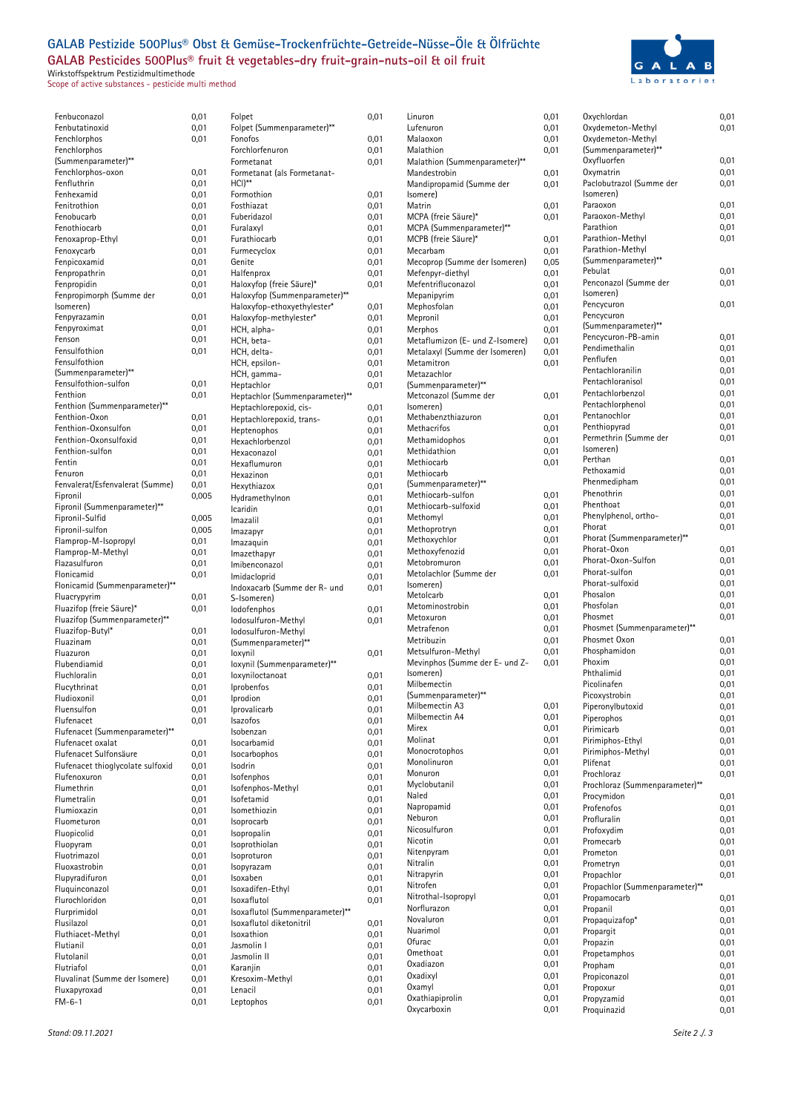## **GALAB Pestizide 500Plus® Obst & Gemüse-Trockenfrüchte-Getreide-Nüsse-Öle & Ölfrüchte GALAB Pesticides 500Plus® fruit & vegetables-dry fruit-grain-nuts-oil & oil fruit**

Wirkstoffspektrum Pestizidmultimethode Scope of active substances - pesticide multi method



| Fenbuconazol                      | 0,01         |
|-----------------------------------|--------------|
| Fenbutatinoxid                    | 0,01         |
| Fenchlorphos                      | 0,01         |
| Fenchlorphos                      |              |
| (Summenparameter)**               |              |
| Fenchlorphos-oxon                 | 0,01         |
| Fenfluthrin                       | 0,01         |
| Fenhexamid                        | 0,01         |
| Fenitrothion                      | 0,01         |
| Fenobucarb                        | 0,01         |
| Fenothiocarb                      | 0,01         |
| Fenoxaprop-Ethyl                  | 0,01         |
| Fenoxycarb                        | 0,01         |
| Fenpicoxamid                      | 0,01         |
| Fenpropathrin                     |              |
|                                   | 0,01         |
| Fenpropidin                       | 0,01         |
| Fenpropimorph (Summe der          | 0,01         |
| Isomeren)                         |              |
| Fenpyrazamin                      | 0,01         |
| Fenpyroximat                      | 0,01         |
| Fenson                            | 0,01         |
| Fensulfothion                     | 0,01         |
| Fensulfothion                     |              |
| (Summenparameter)**               |              |
| Fensulfothion-sulfon              | 0,01         |
| Fenthion                          | 0,01         |
| Fenthion (Summenparameter)**      |              |
| Fenthion-Oxon                     | 0,01         |
| Fenthion-Oxonsulfon               | 0,01         |
| Fenthion-Oxonsulfoxid             | 0,01         |
| Fenthion-sulfon                   | 0,01         |
| Fentin                            | 0,01         |
| Fenuron                           |              |
|                                   | 0,01         |
| Fenvalerat/Esfenvalerat (Summe)   | 0,01         |
| Fipronil                          | 0,00         |
| Fipronil (Summenparameter)**      |              |
| Fipronil-Sulfid                   | 0,00!        |
| Fipronil-sulfon                   | 0,00!        |
| Flamprop-M-Isopropyl              | 0,01         |
| Flamprop-M-Methyl                 | 0,01         |
| Flazasulfuron                     | 0,01         |
| Flonicamid                        | 0,01         |
| Flonicamid (Summenparameter)**    |              |
| Fluacrypyrim                      | 0,01         |
| Fluazifop (freie Säure)*          | 0,01         |
| Fluazifop (Summenparameter)**     |              |
| Fluazifop-Butyl*                  | 0,01         |
| Fluazinam                         | 0,01         |
| Fluazuron                         | 0,01         |
| Flubendiamid                      | 0,01         |
| Fluchloralin                      | 0,01         |
| Flucythrinat                      | 0,01         |
| Fludioxonil                       | 0,01         |
| Fluensulfon                       | 0,01         |
|                                   |              |
| Flufenacet                        | 0,01         |
| Flufenacet (Summenparameter)**    |              |
| Flufenacet oxalat                 | 0,01         |
| Flufenacet Sulfonsäure            | 0,01         |
| Flufenacet thioglycolate sulfoxid | 0,01         |
| Flufenoxuron                      | 0,01         |
| Flumethrin                        | 0,01         |
| Flumetralin                       | 0,01         |
| Flumioxazin                       | 0,01         |
| Fluometuron                       | 0,01         |
| Fluopicolid                       | 0,01         |
| Fluopyram                         | 0,01         |
| Fluotrimazol                      | 0,01         |
| Fluoxastrobin                     | 0,01         |
| Flupyradifuron                    | 0,01         |
| Fluquinconazol                    |              |
| Flurochloridon                    |              |
| Flurprimidol                      | 0,01         |
| Flusilazol                        | 0,01         |
|                                   | 0,01         |
|                                   | 0,01         |
| Fluthiacet-Methyl                 | 0,01         |
| Flutianil                         | 0,01         |
| Flutolanil                        | 0,01         |
| Flutriafol                        | 0,01         |
| Fluvalinat (Summe der Isomere)    | 0,01         |
| Fluxapyroxad<br>$FM-6-1$          | 0,01<br>0,01 |

| 0,01  | Folpet                          | 0,01 |
|-------|---------------------------------|------|
| 0,01  | Folpet (Summenparameter)**      |      |
| 0,01  | Fonofos                         | 0,01 |
|       | Forchlorfenuron                 | 0,01 |
|       | Formetanat                      |      |
| 0,01  | Formetanat (als Formetanat-     | 0,01 |
| 0,01  | HCI)**                          |      |
|       | Formothion                      |      |
| 0,01  |                                 | 0,01 |
| 0,01  | Fosthiazat                      | 0,01 |
| 0,01  | Fuberidazol                     | 0,01 |
| 0,01  | Furalaxyl                       | 0,01 |
| 0,01  | Furathiocarb                    | 0,01 |
| 0,01  | Furmecyclox                     | 0,01 |
| 0,01  | Genite                          | 0,01 |
| 0,01  | Halfenprox                      | 0,01 |
| 0,01  | Haloxyfop (freie Säure)*        | 0,01 |
| 0,01  | Haloxyfop (Summenparameter)**   |      |
|       | Haloxyfop-ethoxyethylester*     | 0,01 |
| 0,01  | Haloxyfop-methylester*          | 0,01 |
| 0,01  | HCH, alpha-                     | 0,01 |
| 0,01  | HCH, beta-                      | 0,01 |
| 0,01  | HCH, delta-                     | 0,01 |
|       | HCH, epsilon-                   | 0,01 |
|       | HCH, gamma-                     | 0,01 |
| 0,01  | Heptachlor                      |      |
| 0,01  |                                 | 0,01 |
|       | Heptachlor (Summenparameter)**  |      |
|       | Heptachlorepoxid, cis-          | 0,01 |
| 0,01  | Heptachlorepoxid, trans-        | 0,01 |
| 0,01  | Heptenophos                     | 0,01 |
| 0,01  | Hexachlorbenzol                 | 0,01 |
| 0,01  | Hexaconazol                     | 0,01 |
| 0,01  | Hexaflumuron                    | 0,01 |
| 0,01  | Hexazinon                       | 0,01 |
| 0,01  | Hexythiazox                     | 0,01 |
| 0,005 | Hydramethylnon                  | 0,01 |
|       | Icaridin                        | 0,01 |
| 0,005 | Imazalil                        | 0,01 |
| 0,005 |                                 |      |
| 0,01  | lmazapyr                        | 0,01 |
|       | Imazaquin                       | 0,01 |
| 0,01  | Imazethapyr                     | 0,01 |
| 0,01  | Imibenconazol                   | 0,01 |
| 0,01  | Imidacloprid                    | 0,01 |
|       | Indoxacarb (Summe der R- und    | 0,01 |
| 0,01  | S-Isomeren)                     |      |
|       |                                 |      |
| 0,01  | lodofenphos                     | 0,01 |
|       | lodosulfuron-Methyl             | 0,01 |
| 0,01  | lodosulfuron-Methyl             |      |
| 0,01  | (Summenparameter)**             |      |
| 0,01  | loxynil                         | 0,01 |
| 0,01  | loxynil (Summenparameter)**     |      |
| 0,01  | loxyniloctanoat                 |      |
|       | Iprobenfos                      | 0,01 |
| 0,01  |                                 | 0,01 |
| 0,01  | Iprodion                        | 0,01 |
| 0,01  | Iprovalicarb                    | 0,01 |
| 0,01  | Isazofos                        | 0,01 |
|       | Isobenzan                       | 0,01 |
| 0,01  | Isocarbamid                     | 0,01 |
| 0,01  | Isocarbophos                    | 0,01 |
| 0,01  | Isodrin                         | 0,01 |
| 0,01  | Isofenphos                      | 0,01 |
| 0,01  | Isofenphos-Methyl               | 0,01 |
| 0,01  | Isofetamid                      | 0,01 |
| 0,01  | Isomethiozin                    | 0,01 |
| 0,01  | Isoprocarb                      | 0,01 |
| 0,01  | Isopropalin                     | 0,01 |
| 0,01  | Isoprothiolan                   | 0,01 |
| 0,01  | Isoproturon                     | 0,01 |
| 0,01  | Isopyrazam                      | 0,01 |
| 0,01  | Isoxaben                        | 0,01 |
| 0,01  | Isoxadifen-Ethyl                | 0,01 |
| 0,01  | Isoxaflutol                     | 0,01 |
|       |                                 |      |
| 0,01  | Isoxaflutol (Summenparameter)** |      |
| 0,01  | Isoxaflutol diketonitril        | 0,01 |
| 0,01  | Isoxathion                      | 0,01 |
| 0,01  | Jasmolin I                      | 0,01 |
| 0,01  | Jasmolin II                     | 0,01 |
| 0,01  | Karanjin                        | 0,01 |
| 0,01  | Kresoxim-Methyl                 | 0,01 |
| 0,01  | Lenacil                         | 0,01 |
| 0,01  | Leptophos                       | 0,01 |

| Linuron                         | 0,01 | Oxychlordan                    | 0,01 |
|---------------------------------|------|--------------------------------|------|
| Lufenuron                       | 0,01 | Oxydemeton-Methyl              | 0,01 |
| Malaoxon                        | 0,01 | Oxydemeton-Methyl              |      |
| Malathion                       | 0,01 | (Summenparameter)**            |      |
| Malathion (Summenparameter)**   |      | Oxyfluorfen                    | 0,01 |
| Mandestrobin                    | 0,01 | Oxymatrin                      | 0,01 |
| Mandipropamid (Summe der        | 0,01 | Paclobutrazol (Summe der       | 0,01 |
| (somere                         |      | Isomeren)                      |      |
| Matrin                          | 0,01 | Paraoxon                       | 0,01 |
| MCPA (freie Säure)*             | 0,01 | Paraoxon-Methyl                | 0,01 |
| MCPA (Summenparameter)**        |      | Parathion                      | 0,01 |
|                                 |      | Parathion-Methyl               | 0,01 |
| MCPB (freie Säure)*             | 0,01 |                                |      |
| Mecarbam                        | 0,01 | Parathion-Methyl               |      |
| Mecoprop (Summe der Isomeren)   | 0,05 | (Summenparameter)**            |      |
| Mefenpyr-diethyl                | 0,01 | Pebulat                        | 0.01 |
| Mefentrifluconazol              | 0,01 | Penconazol (Summe der          | 0,01 |
| Mepanipyrim                     | 0,01 | Isomeren)                      |      |
| Mephosfolan                     | 0,01 | Pencycuron                     | 0,01 |
| Mepronil                        | 0,01 | Pencycuron                     |      |
| Merphos                         | 0,01 | (Summenparameter)**            |      |
| Metaflumizon (E- und Z-Isomere) | 0,01 | Pencycuron-PB-amin             | 0,01 |
| Metalaxyl (Summe der Isomeren)  | 0,01 | Pendimethalin                  | 0,01 |
| Metamitron                      | 0,01 | Penflufen                      | 0,01 |
| Metazachlor                     |      | Pentachloranilin               | 0,01 |
| (Summenparameter)**             |      | Pentachloranisol               | 0,01 |
| Metconazol (Summe der           |      | Pentachlorbenzol               | 0,01 |
|                                 | 0,01 | Pentachlorphenol               | 0,01 |
| (Isomeren                       |      | Pentanochlor                   | 0,01 |
| Methabenzthiazuron              | 0,01 | Penthiopyrad                   | 0,01 |
| Methacrifos                     | 0,01 | Permethrin (Summe der          |      |
| Methamidophos                   | 0,01 |                                | 0,01 |
| Methidathion                    | 0,01 | Isomeren)                      |      |
| Methiocarb                      | 0,01 | Perthan                        | 0,01 |
| Methiocarb                      |      | Pethoxamid                     | 0,01 |
| (Summenparameter)**             |      | Phenmedipham                   | 0,01 |
| Methiocarb-sulfon               | 0,01 | Phenothrin                     | 0,01 |
| Methiocarb-sulfoxid             | 0,01 | Phenthoat                      | 0,01 |
| Methomyl                        | 0,01 | Phenylphenol, ortho-           | 0,01 |
| Methoprotryn                    | 0,01 | Phorat                         | 0,01 |
| Methoxychlor                    | 0,01 | Phorat (Summenparameter)**     |      |
| Methoxyfenozid                  | 0,01 | Phorat-Oxon                    | 0,01 |
| Metobromuron                    | 0,01 | Phorat-Oxon-Sulfon             | 0,01 |
|                                 |      | Phorat-sulfon                  | 0,01 |
| Metolachlor (Summe der          | 0,01 | Phorat-sulfoxid                | 0,01 |
| Isomeren)                       |      |                                |      |
| Metolcarb                       | 0,01 | Phosalon                       | 0,01 |
| Metominostrobin                 | 0,01 | Phosfolan                      | 0,01 |
| Metoxuron                       | 0,01 | Phosmet                        | 0,01 |
| Metrafenon                      | 0,01 | Phosmet (Summenparameter)**    |      |
| Metribuzin                      | 0,01 | Phosmet Oxon                   | 0,01 |
| Metsulfuron-Methyl              | 0,01 | Phosphamidon                   | 0,01 |
| Mevinphos (Summe der E- und Z-  | 0,01 | Phoxim                         | 0,01 |
| Isomeren)                       |      | Phthalimid                     | 0,01 |
| Milbemectin                     |      | Picolinafen                    | 0,01 |
| (Summenparameter)**             |      | Picoxystrobin                  | 0,01 |
| Milbemectin A3                  | 0,01 | Piperonylbutoxid               | 0,01 |
| Milbemectin A4                  | 0,01 | Piperophos                     | 0,01 |
| Mirex                           | 0,01 | Pirimicarb                     | 0,01 |
| Molinat                         | 0,01 | Pirimiphos-Ethyl               | 0,01 |
| Monocrotophos                   | 0,01 | Pirimiphos-Methyl              |      |
| Monolinuron                     | 0,01 |                                | 0,01 |
|                                 |      | Plifenat                       | 0,01 |
| Monuron                         | 0,01 | Prochloraz                     | 0,01 |
| Myclobutanil                    | 0,01 | Prochloraz (Summenparameter)** |      |
| Naled                           | 0,01 | Procymidon                     | 0,01 |
| Napropamid                      | 0,01 | Profenofos                     | 0,01 |
| Neburon                         | 0,01 | Profluralin                    | 0,01 |
| Nicosulfuron                    | 0,01 | Profoxydim                     | 0,01 |
| Nicotin                         | 0,01 | Promecarb                      | 0,01 |
| Nitenpyram                      | 0,01 | Prometon                       | 0,01 |
| Nitralin                        | 0,01 | Prometryn                      | 0,01 |
| Nitrapyrin                      | 0,01 | Propachlor                     | 0,01 |
| Nitrofen                        | 0,01 | Propachlor (Summenparameter)** |      |
| Nitrothal-Isopropyl             | 0,01 | Propamocarb                    | 0,01 |
| Norflurazon                     |      |                                |      |
|                                 | 0,01 | Propanil                       | 0,01 |
| Novaluron                       | 0,01 | Propaquizafop*                 | 0,01 |
| Nuarimol                        | 0,01 | Propargit                      | 0,01 |
| Ofurac                          | 0,01 | Propazin                       | 0,01 |
| Omethoat                        | 0,01 | Propetamphos                   | 0,01 |
| Oxadiazon                       | 0,01 | Propham                        | 0,01 |
| Oxadixyl                        | 0,01 | Propiconazol                   | 0,01 |
| Oxamyl                          | 0,01 | Propoxur                       | 0,01 |
| Oxathiapiprolin                 | 0,01 | Propyzamid                     | 0,01 |
| Oxycarboxin                     | 0,01 | Proquinazid                    | 0,01 |